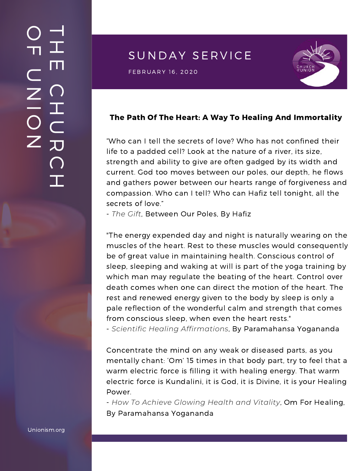## SUNDAY SERVICE

 $\mathsf{FEBRUARY\ 16, 2020} \ \blacksquare$ 



#### The Path Of The Heart: A Way To Healing And Immortality

"Who can I tell the secrets of love? Who has not confined their life to a padded cell? Look at the nature of a river, its size, strength and ability to give are often gadged by its width and current. God too moves between our poles, our depth, he flows and gathers power between our hearts range of forgiveness and compassion. Who can I tell? Who can Hafiz tell tonight, all the secrets of love."

- *The Gift*, Between Our Poles, By Hafiz

"The energy expended day and night is naturally wearing on the muscles of the heart. Rest to these muscles would consequently be of great value in maintaining health. Conscious control of sleep, sleeping and waking at will is part of the yoga training by which man may regulate the beating of the heart. Control over death comes when one can direct the motion of the heart. The rest and renewed energy given to the body by sleep is only a pale reflection of the wonderful calm and strength that comes from conscious sleep, when even the heart rests."

- *Scientific Healing Affirmations*, By Paramahansa Yogananda

Concentrate the mind on any weak or diseased parts, as you mentally chant: 'Om' 15 times in that body part, try to feel that a warm electric force is filling it with healing energy. That warm electric force is Kundalini, it is God, it is Divine, it is your Healing Power.

- *How To Achieve Glowing Health and Vitality*, Om For Healing, By Paramahansa Yogananda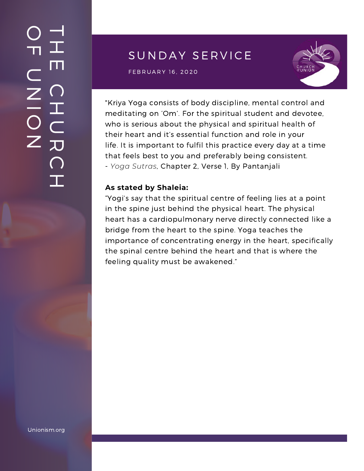## $\overline{\phantom{a}}$ H m.  $\bigcap$ H  $\subset$ 刀  $\bigcap$  $\mathbf{I}$  .  $\bigcirc$  $\blacksquare$  $\subset$  $\mathsf{Z}^+$ <u>In the Second Contract of the Second Contract of the International Second Contract of the International Second Contract of the International Second Contract of the International Second Contract of the International Second</u>  $\bigcirc$  $\mathsf{Z}^+$

# SUNDAY SERVICE

 $\mathsf{FEBRUARY\ 16, 2020} \ \blacksquare$ 



"Kriya Yoga consists of body discipline, mental control and meditating on 'Om'. For the spiritual student and devotee, who is serious about the physical and spiritual health of their heart and it's essential function and role in your life. It is important to fulfil this practice every day at a time that feels best to you and preferably being consistent. - *Yoga Sutras*, Chapter 2, Verse 1, By Pantanjali

#### **As stated by Shaleia:**

"Yogi's say that the spiritual centre of feeling lies at a point in the spine just behind the physical heart. The physical heart has a [cardiopulmonary](https://www.yoganandacommunity.com/new-awakening-churches-paramhansa-yogananda/) nerve directly connected like a bridge from the heart to the spine. Yoga teaches the importance of concentrating energy in the heart, specifically the spinal centre behind the heart and that is where the feeling quality must be awakened."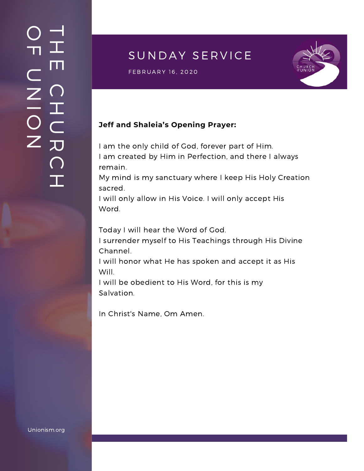## $\overline{\phantom{a}}$ H m.  $\bigcap$ H  $\subset$ 刀  $\bigcap$  $\mathbf{I}$  .  $\bigcirc$  $\blacksquare$  $\subset$  $\mathsf{Z}^+$ <u>In the Second Contract of the Second Contract of the International Second Contract of the International Second Contract of the International Second Contract of the International Second Contract of the International Second</u>  $\bigcirc$  $\mathsf{Z}^+$

# SUNDAY SERVICE

S U N D A Y S E R V I C E F E B R U A R Y 1 6 , 2020



### **Jeff and Shaleia's Opening Prayer:**

I am the only child of God, forever part of Him. I am created by Him in Perfection, and there I always remain.

My mind is my sanctuary where I keep His Holy Creation sacred.

I will only allow in His Voice. I will only accept His Word.

Today I will hear the Word of God.

I surrender myself to His Teachings through His Divine Channel.

I will honor what He has spoken and accept it as His Will.

I will be obedient to His Word, for this is my Salvation.

In Christ's Name, Om Amen.